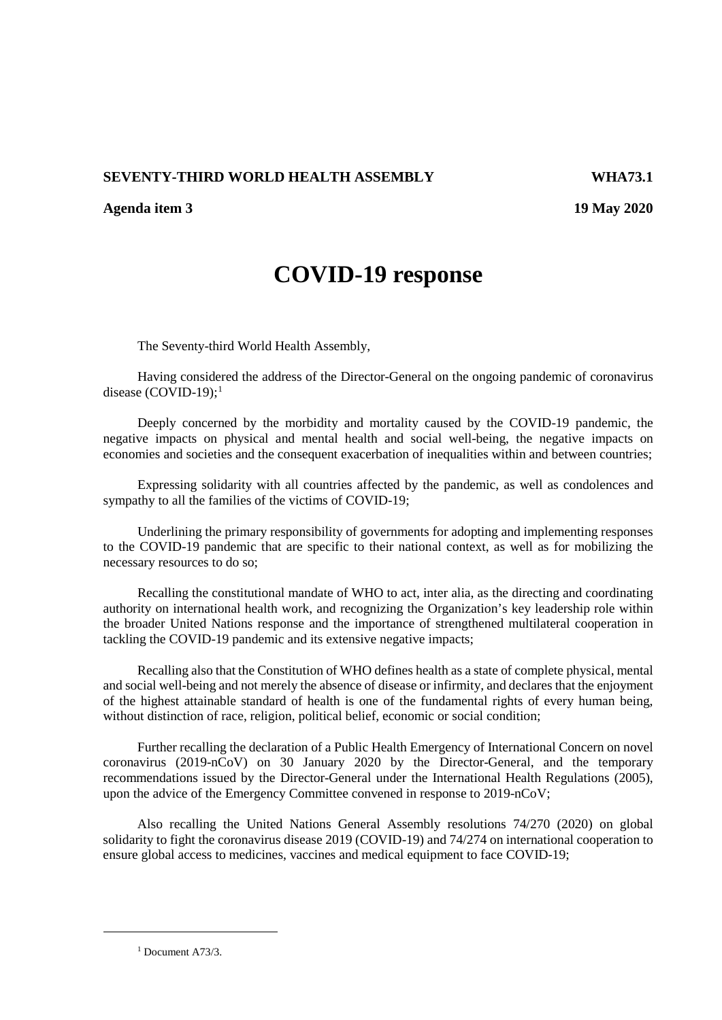## **SEVENTY-THIRD WORLD HEALTH ASSEMBLY WHA73.1**

**Agenda item 3 19 May 2020**

## **COVID-19 response**

The Seventy-third World Health Assembly,

Having considered the address of the Director-General on the ongoing pandemic of coronavirus disease (COVID-[1](#page-0-0)9);<sup>1</sup>

Deeply concerned by the morbidity and mortality caused by the COVID-19 pandemic, the negative impacts on physical and mental health and social well-being, the negative impacts on economies and societies and the consequent exacerbation of inequalities within and between countries;

Expressing solidarity with all countries affected by the pandemic, as well as condolences and sympathy to all the families of the victims of COVID-19;

Underlining the primary responsibility of governments for adopting and implementing responses to the COVID-19 pandemic that are specific to their national context, as well as for mobilizing the necessary resources to do so;

Recalling the constitutional mandate of WHO to act, inter alia, as the directing and coordinating authority on international health work, and recognizing the Organization's key leadership role within the broader United Nations response and the importance of strengthened multilateral cooperation in tackling the COVID-19 pandemic and its extensive negative impacts;

Recalling also that the Constitution of WHO defines health as a state of complete physical, mental and social well-being and not merely the absence of disease or infirmity, and declares that the enjoyment of the highest attainable standard of health is one of the fundamental rights of every human being, without distinction of race, religion, political belief, economic or social condition;

Further recalling the declaration of a Public Health Emergency of International Concern on novel coronavirus (2019-nCoV) on 30 January 2020 by the Director-General, and the temporary recommendations issued by the Director-General under the International Health Regulations (2005), upon the advice of the Emergency Committee convened in response to 2019-nCoV;

Also recalling the United Nations General Assembly resolutions 74/270 (2020) on global solidarity to fight the coronavirus disease 2019 (COVID-19) and 74/274 on international cooperation to ensure global access to medicines, vaccines and medical equipment to face COVID-19;

 $1$  Document A73/3.

<span id="page-0-0"></span><u>.</u>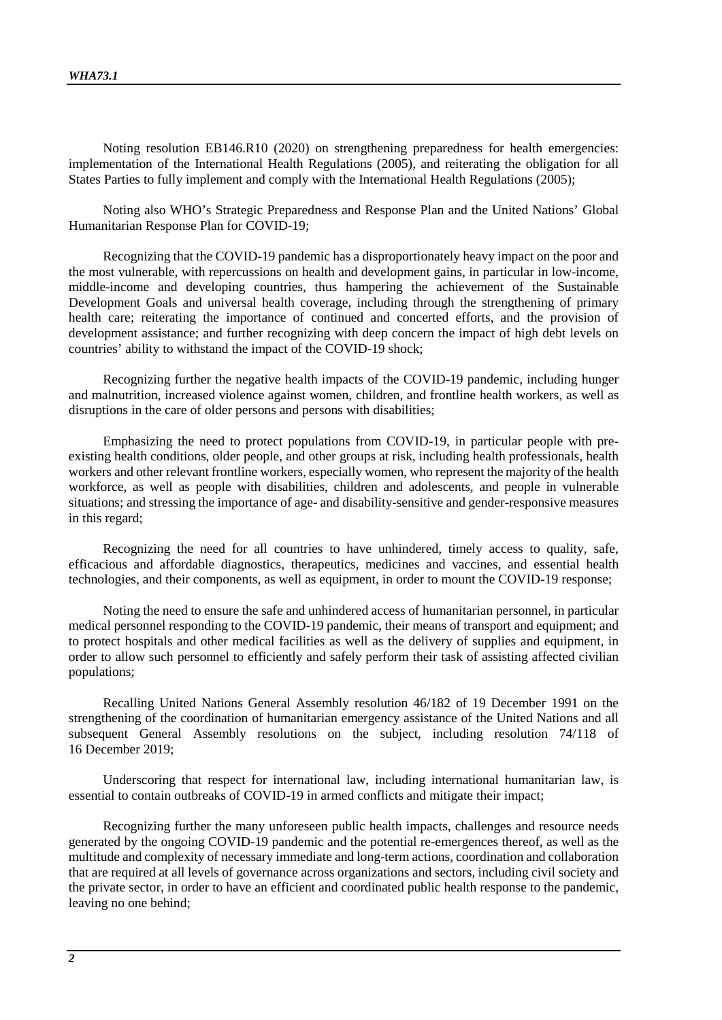Noting resolution EB146.R10 (2020) on strengthening preparedness for health emergencies: implementation of the International Health Regulations (2005), and reiterating the obligation for all States Parties to fully implement and comply with the International Health Regulations (2005);

Noting also WHO's Strategic Preparedness and Response Plan and the United Nations' Global Humanitarian Response Plan for COVID-19;

Recognizing that the COVID-19 pandemic has a disproportionately heavy impact on the poor and the most vulnerable, with repercussions on health and development gains, in particular in low-income, middle-income and developing countries, thus hampering the achievement of the Sustainable Development Goals and universal health coverage, including through the strengthening of primary health care; reiterating the importance of continued and concerted efforts, and the provision of development assistance; and further recognizing with deep concern the impact of high debt levels on countries' ability to withstand the impact of the COVID-19 shock;

Recognizing further the negative health impacts of the COVID-19 pandemic, including hunger and malnutrition, increased violence against women, children, and frontline health workers, as well as disruptions in the care of older persons and persons with disabilities;

Emphasizing the need to protect populations from COVID-19, in particular people with preexisting health conditions, older people, and other groups at risk, including health professionals, health workers and other relevant frontline workers, especially women, who represent the majority of the health workforce, as well as people with disabilities, children and adolescents, and people in vulnerable situations; and stressing the importance of age- and disability-sensitive and gender-responsive measures in this regard;

Recognizing the need for all countries to have unhindered, timely access to quality, safe, efficacious and affordable diagnostics, therapeutics, medicines and vaccines, and essential health technologies, and their components, as well as equipment, in order to mount the COVID-19 response;

Noting the need to ensure the safe and unhindered access of humanitarian personnel, in particular medical personnel responding to the COVID-19 pandemic, their means of transport and equipment; and to protect hospitals and other medical facilities as well as the delivery of supplies and equipment, in order to allow such personnel to efficiently and safely perform their task of assisting affected civilian populations;

Recalling United Nations General Assembly resolution 46/182 of 19 December 1991 on the strengthening of the coordination of humanitarian emergency assistance of the United Nations and all subsequent General Assembly resolutions on the subject, including resolution 74/118 of 16 December 2019;

Underscoring that respect for international law, including international humanitarian law, is essential to contain outbreaks of COVID-19 in armed conflicts and mitigate their impact;

Recognizing further the many unforeseen public health impacts, challenges and resource needs generated by the ongoing COVID-19 pandemic and the potential re-emergences thereof, as well as the multitude and complexity of necessary immediate and long-term actions, coordination and collaboration that are required at all levels of governance across organizations and sectors, including civil society and the private sector, in order to have an efficient and coordinated public health response to the pandemic, leaving no one behind;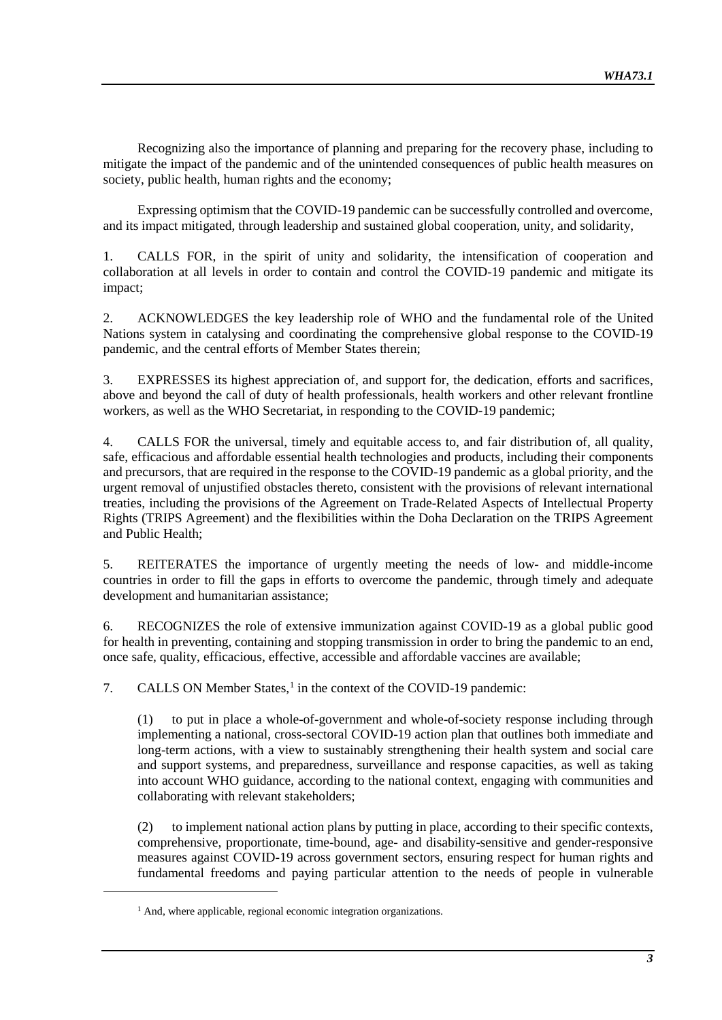Recognizing also the importance of planning and preparing for the recovery phase, including to mitigate the impact of the pandemic and of the unintended consequences of public health measures on society, public health, human rights and the economy;

Expressing optimism that the COVID-19 pandemic can be successfully controlled and overcome, and its impact mitigated, through leadership and sustained global cooperation, unity, and solidarity,

1. CALLS FOR, in the spirit of unity and solidarity, the intensification of cooperation and collaboration at all levels in order to contain and control the COVID-19 pandemic and mitigate its impact;

2. ACKNOWLEDGES the key leadership role of WHO and the fundamental role of the United Nations system in catalysing and coordinating the comprehensive global response to the COVID-19 pandemic, and the central efforts of Member States therein;

3. EXPRESSES its highest appreciation of, and support for, the dedication, efforts and sacrifices, above and beyond the call of duty of health professionals, health workers and other relevant frontline workers, as well as the WHO Secretariat, in responding to the COVID-19 pandemic;

4. CALLS FOR the universal, timely and equitable access to, and fair distribution of, all quality, safe, efficacious and affordable essential health technologies and products, including their components and precursors, that are required in the response to the COVID-19 pandemic as a global priority, and the urgent removal of unjustified obstacles thereto, consistent with the provisions of relevant international treaties, including the provisions of the Agreement on Trade-Related Aspects of Intellectual Property Rights (TRIPS Agreement) and the flexibilities within the Doha Declaration on the TRIPS Agreement and Public Health;

5. REITERATES the importance of urgently meeting the needs of low- and middle-income countries in order to fill the gaps in efforts to overcome the pandemic, through timely and adequate development and humanitarian assistance;

6. RECOGNIZES the role of extensive immunization against COVID-19 as a global public good for health in preventing, containing and stopping transmission in order to bring the pandemic to an end, once safe, quality, efficacious, effective, accessible and affordable vaccines are available;

7. CALLS ON Member States,<sup>[1](#page-2-0)</sup> in the context of the COVID-19 pandemic:

(1) to put in place a whole-of-government and whole-of-society response including through implementing a national, cross-sectoral COVID-19 action plan that outlines both immediate and long-term actions, with a view to sustainably strengthening their health system and social care and support systems, and preparedness, surveillance and response capacities, as well as taking into account WHO guidance, according to the national context, engaging with communities and collaborating with relevant stakeholders;

(2) to implement national action plans by putting in place, according to their specific contexts, comprehensive, proportionate, time-bound, age- and disability-sensitive and gender-responsive measures against COVID-19 across government sectors, ensuring respect for human rights and fundamental freedoms and paying particular attention to the needs of people in vulnerable

<span id="page-2-0"></span>-

<sup>&</sup>lt;sup>1</sup> And, where applicable, regional economic integration organizations.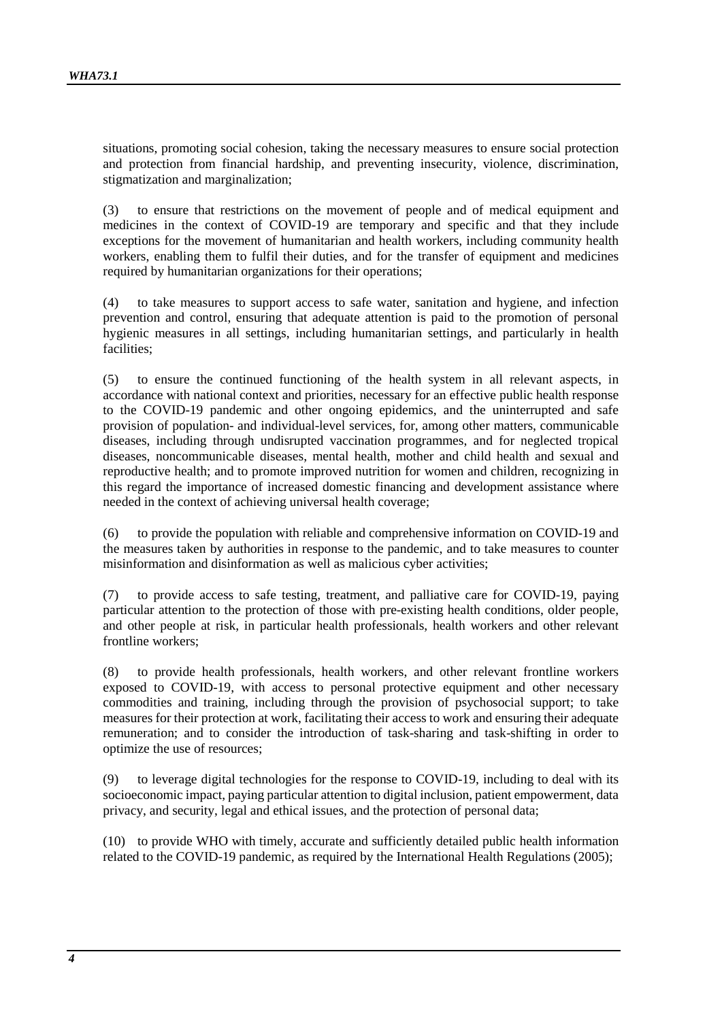situations, promoting social cohesion, taking the necessary measures to ensure social protection and protection from financial hardship, and preventing insecurity, violence, discrimination, stigmatization and marginalization;

(3) to ensure that restrictions on the movement of people and of medical equipment and medicines in the context of COVID-19 are temporary and specific and that they include exceptions for the movement of humanitarian and health workers, including community health workers, enabling them to fulfil their duties, and for the transfer of equipment and medicines required by humanitarian organizations for their operations;

(4) to take measures to support access to safe water, sanitation and hygiene, and infection prevention and control, ensuring that adequate attention is paid to the promotion of personal hygienic measures in all settings, including humanitarian settings, and particularly in health facilities;

(5) to ensure the continued functioning of the health system in all relevant aspects, in accordance with national context and priorities, necessary for an effective public health response to the COVID-19 pandemic and other ongoing epidemics, and the uninterrupted and safe provision of population- and individual-level services, for, among other matters, communicable diseases, including through undisrupted vaccination programmes, and for neglected tropical diseases, noncommunicable diseases, mental health, mother and child health and sexual and reproductive health; and to promote improved nutrition for women and children, recognizing in this regard the importance of increased domestic financing and development assistance where needed in the context of achieving universal health coverage;

(6) to provide the population with reliable and comprehensive information on COVID-19 and the measures taken by authorities in response to the pandemic, and to take measures to counter misinformation and disinformation as well as malicious cyber activities;

(7) to provide access to safe testing, treatment, and palliative care for COVID-19, paying particular attention to the protection of those with pre-existing health conditions, older people, and other people at risk, in particular health professionals, health workers and other relevant frontline workers;

(8) to provide health professionals, health workers, and other relevant frontline workers exposed to COVID-19, with access to personal protective equipment and other necessary commodities and training, including through the provision of psychosocial support; to take measures for their protection at work, facilitating their access to work and ensuring their adequate remuneration; and to consider the introduction of task-sharing and task-shifting in order to optimize the use of resources;

(9) to leverage digital technologies for the response to COVID-19, including to deal with its socioeconomic impact, paying particular attention to digital inclusion, patient empowerment, data privacy, and security, legal and ethical issues, and the protection of personal data;

(10) to provide WHO with timely, accurate and sufficiently detailed public health information related to the COVID-19 pandemic, as required by the International Health Regulations (2005);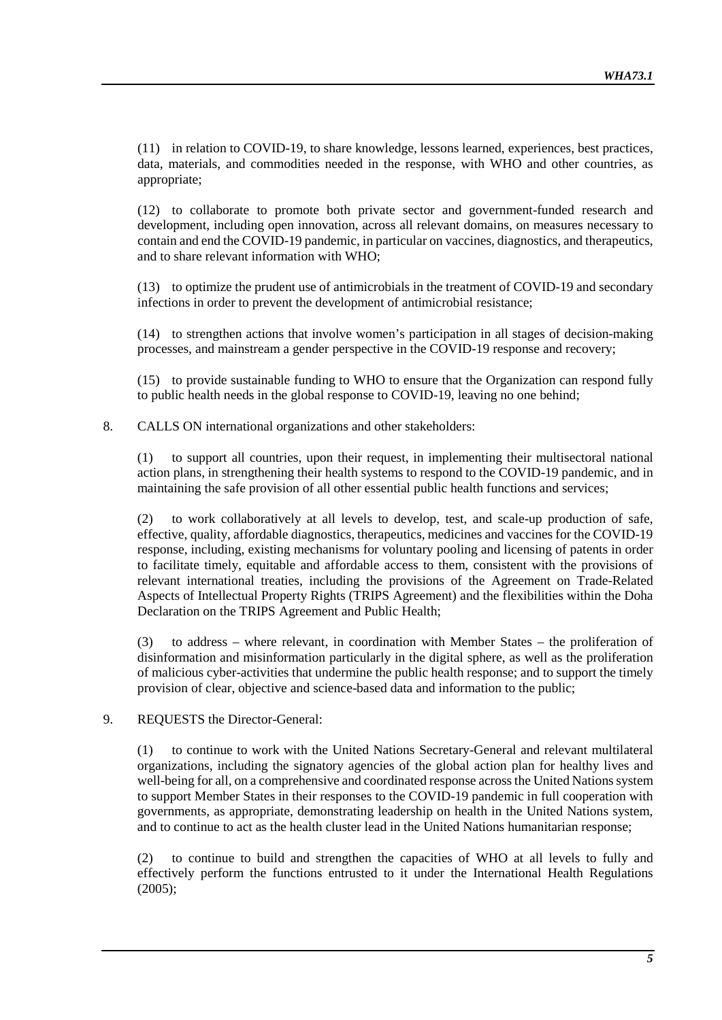(11) in relation to COVID-19, to share knowledge, lessons learned, experiences, best practices, data, materials, and commodities needed in the response, with WHO and other countries, as appropriate;

(12) to collaborate to promote both private sector and government-funded research and development, including open innovation, across all relevant domains, on measures necessary to contain and end the COVID-19 pandemic, in particular on vaccines, diagnostics, and therapeutics, and to share relevant information with WHO;

(13) to optimize the prudent use of antimicrobials in the treatment of COVID-19 and secondary infections in order to prevent the development of antimicrobial resistance;

(14) to strengthen actions that involve women's participation in all stages of decision-making processes, and mainstream a gender perspective in the COVID-19 response and recovery;

(15) to provide sustainable funding to WHO to ensure that the Organization can respond fully to public health needs in the global response to COVID-19, leaving no one behind;

8. CALLS ON international organizations and other stakeholders:

(1) to support all countries, upon their request, in implementing their multisectoral national action plans, in strengthening their health systems to respond to the COVID-19 pandemic, and in maintaining the safe provision of all other essential public health functions and services;

(2) to work collaboratively at all levels to develop, test, and scale-up production of safe, effective, quality, affordable diagnostics, therapeutics, medicines and vaccines for the COVID-19 response, including, existing mechanisms for voluntary pooling and licensing of patents in order to facilitate timely, equitable and affordable access to them, consistent with the provisions of relevant international treaties, including the provisions of the Agreement on Trade-Related Aspects of Intellectual Property Rights (TRIPS Agreement) and the flexibilities within the Doha Declaration on the TRIPS Agreement and Public Health;

(3) to address – where relevant, in coordination with Member States – the proliferation of disinformation and misinformation particularly in the digital sphere, as well as the proliferation of malicious cyber-activities that undermine the public health response; and to support the timely provision of clear, objective and science-based data and information to the public;

## 9. REQUESTS the Director-General:

(1) to continue to work with the United Nations Secretary-General and relevant multilateral organizations, including the signatory agencies of the global action plan for healthy lives and well-being for all, on a comprehensive and coordinated response across the United Nations system to support Member States in their responses to the COVID-19 pandemic in full cooperation with governments, as appropriate, demonstrating leadership on health in the United Nations system, and to continue to act as the health cluster lead in the United Nations humanitarian response;

(2) to continue to build and strengthen the capacities of WHO at all levels to fully and effectively perform the functions entrusted to it under the International Health Regulations (2005);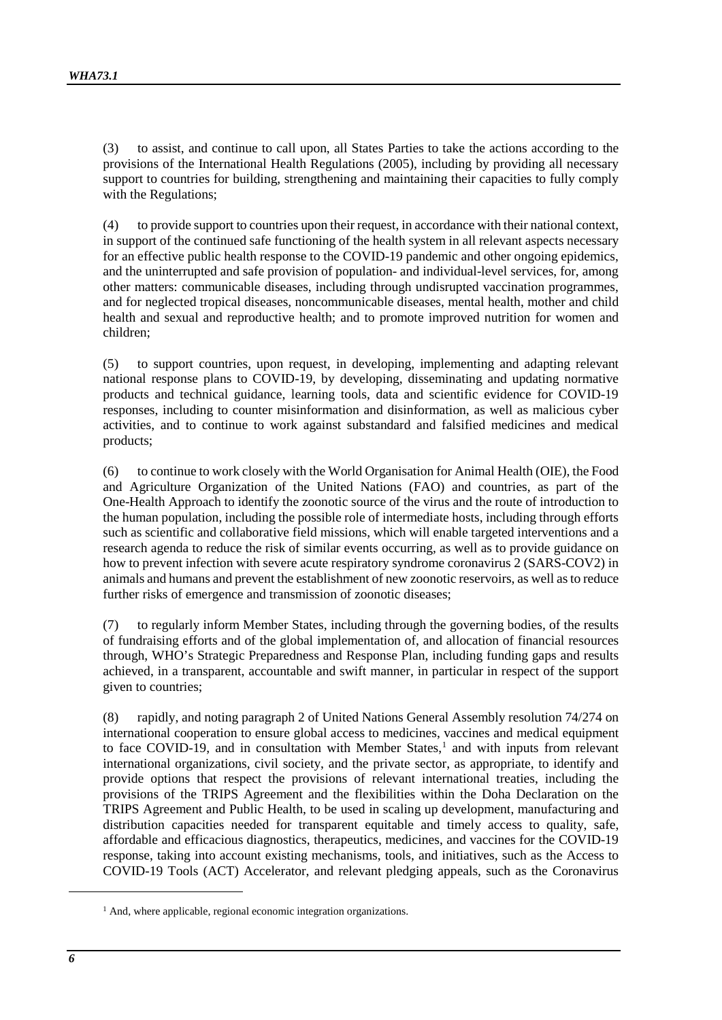(3) to assist, and continue to call upon, all States Parties to take the actions according to the provisions of the International Health Regulations (2005), including by providing all necessary support to countries for building, strengthening and maintaining their capacities to fully comply with the Regulations;

(4) to provide support to countries upon their request, in accordance with their national context, in support of the continued safe functioning of the health system in all relevant aspects necessary for an effective public health response to the COVID-19 pandemic and other ongoing epidemics, and the uninterrupted and safe provision of population- and individual-level services, for, among other matters: communicable diseases, including through undisrupted vaccination programmes, and for neglected tropical diseases, noncommunicable diseases, mental health, mother and child health and sexual and reproductive health; and to promote improved nutrition for women and children;

(5) to support countries, upon request, in developing, implementing and adapting relevant national response plans to COVID-19, by developing, disseminating and updating normative products and technical guidance, learning tools, data and scientific evidence for COVID-19 responses, including to counter misinformation and disinformation, as well as malicious cyber activities, and to continue to work against substandard and falsified medicines and medical products;

(6) to continue to work closely with the World Organisation for Animal Health (OIE), the Food and Agriculture Organization of the United Nations (FAO) and countries, as part of the One-Health Approach to identify the zoonotic source of the virus and the route of introduction to the human population, including the possible role of intermediate hosts, including through efforts such as scientific and collaborative field missions, which will enable targeted interventions and a research agenda to reduce the risk of similar events occurring, as well as to provide guidance on how to prevent infection with severe acute respiratory syndrome coronavirus 2 (SARS-COV2) in animals and humans and prevent the establishment of new zoonotic reservoirs, as well as to reduce further risks of emergence and transmission of zoonotic diseases;

(7) to regularly inform Member States, including through the governing bodies, of the results of fundraising efforts and of the global implementation of, and allocation of financial resources through, WHO's Strategic Preparedness and Response Plan, including funding gaps and results achieved, in a transparent, accountable and swift manner, in particular in respect of the support given to countries;

(8) rapidly, and noting paragraph 2 of United Nations General Assembly resolution 74/274 on international cooperation to ensure global access to medicines, vaccines and medical equipment to face COVID-[1](#page-5-0)9, and in consultation with Member States, $<sup>1</sup>$  and with inputs from relevant</sup> international organizations, civil society, and the private sector, as appropriate, to identify and provide options that respect the provisions of relevant international treaties, including the provisions of the TRIPS Agreement and the flexibilities within the Doha Declaration on the TRIPS Agreement and Public Health, to be used in scaling up development, manufacturing and distribution capacities needed for transparent equitable and timely access to quality, safe, affordable and efficacious diagnostics, therapeutics, medicines, and vaccines for the COVID-19 response, taking into account existing mechanisms, tools, and initiatives, such as the Access to COVID-19 Tools (ACT) Accelerator, and relevant pledging appeals, such as the Coronavirus

<span id="page-5-0"></span>-

<sup>&</sup>lt;sup>1</sup> And, where applicable, regional economic integration organizations.